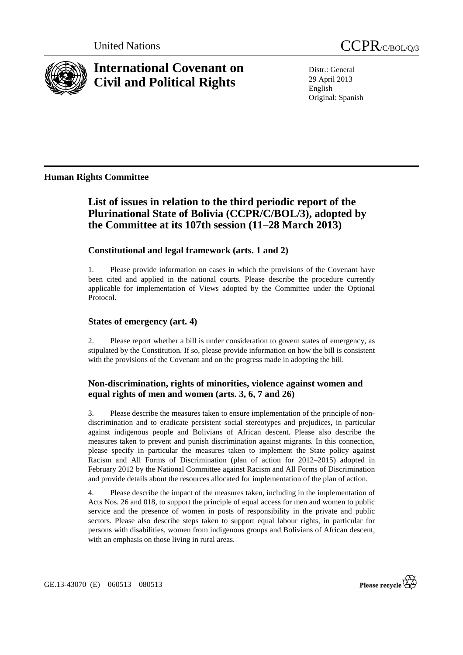



# **International Covenant on Civil and Political Rights**

Distr.: General 29 April 2013 English Original: Spanish

# **Human Rights Committee**

# **List of issues in relation to the third periodic report of the Plurinational State of Bolivia (CCPR/C/BOL/3), adopted by the Committee at its 107th session (11–28 March 2013)**

## **Constitutional and legal framework (arts. 1 and 2)**

1. Please provide information on cases in which the provisions of the Covenant have been cited and applied in the national courts. Please describe the procedure currently applicable for implementation of Views adopted by the Committee under the Optional Protocol.

#### **States of emergency (art. 4)**

2. Please report whether a bill is under consideration to govern states of emergency, as stipulated by the Constitution. If so, please provide information on how the bill is consistent with the provisions of the Covenant and on the progress made in adopting the bill.

# **Non-discrimination, rights of minorities, violence against women and equal rights of men and women (arts. 3, 6, 7 and 26)**

3. Please describe the measures taken to ensure implementation of the principle of nondiscrimination and to eradicate persistent social stereotypes and prejudices, in particular against indigenous people and Bolivians of African descent. Please also describe the measures taken to prevent and punish discrimination against migrants. In this connection, please specify in particular the measures taken to implement the State policy against Racism and All Forms of Discrimination (plan of action for 2012–2015) adopted in February 2012 by the National Committee against Racism and All Forms of Discrimination and provide details about the resources allocated for implementation of the plan of action.

4. Please describe the impact of the measures taken, including in the implementation of Acts Nos. 26 and 018, to support the principle of equal access for men and women to public service and the presence of women in posts of responsibility in the private and public sectors. Please also describe steps taken to support equal labour rights, in particular for persons with disabilities, women from indigenous groups and Bolivians of African descent, with an emphasis on those living in rural areas.

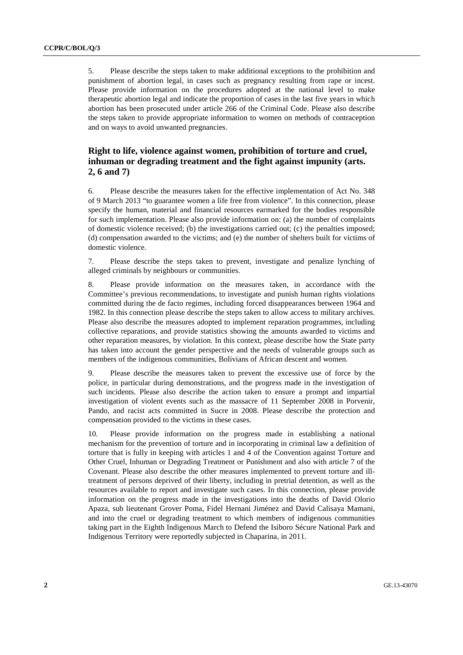5. Please describe the steps taken to make additional exceptions to the prohibition and punishment of abortion legal, in cases such as pregnancy resulting from rape or incest. Please provide information on the procedures adopted at the national level to make therapeutic abortion legal and indicate the proportion of cases in the last five years in which abortion has been prosecuted under article 266 of the Criminal Code. Please also describe the steps taken to provide appropriate information to women on methods of contraception and on ways to avoid unwanted pregnancies.

## **Right to life, violence against women, prohibition of torture and cruel, inhuman or degrading treatment and the fight against impunity (arts. 2, 6 and 7)**

6. Please describe the measures taken for the effective implementation of Act No. 348 of 9 March 2013 "to guarantee women a life free from violence". In this connection, please specify the human, material and financial resources earmarked for the bodies responsible for such implementation. Please also provide information on: (a) the number of complaints of domestic violence received; (b) the investigations carried out; (c) the penalties imposed; (d) compensation awarded to the victims; and (e) the number of shelters built for victims of domestic violence.

7. Please describe the steps taken to prevent, investigate and penalize lynching of alleged criminals by neighbours or communities.

8. Please provide information on the measures taken, in accordance with the Committee's previous recommendations, to investigate and punish human rights violations committed during the de facto regimes, including forced disappearances between 1964 and 1982. In this connection please describe the steps taken to allow access to military archives. Please also describe the measures adopted to implement reparation programmes, including collective reparations, and provide statistics showing the amounts awarded to victims and other reparation measures, by violation. In this context, please describe how the State party has taken into account the gender perspective and the needs of vulnerable groups such as members of the indigenous communities, Bolivians of African descent and women.

9. Please describe the measures taken to prevent the excessive use of force by the police, in particular during demonstrations, and the progress made in the investigation of such incidents. Please also describe the action taken to ensure a prompt and impartial investigation of violent events such as the massacre of 11 September 2008 in Porvenir, Pando, and racist acts committed in Sucre in 2008. Please describe the protection and compensation provided to the victims in these cases.

10. Please provide information on the progress made in establishing a national mechanism for the prevention of torture and in incorporating in criminal law a definition of torture that is fully in keeping with articles 1 and 4 of the Convention against Torture and Other Cruel, Inhuman or Degrading Treatment or Punishment and also with article 7 of the Covenant. Please also describe the other measures implemented to prevent torture and illtreatment of persons deprived of their liberty, including in pretrial detention, as well as the resources available to report and investigate such cases. In this connection, please provide information on the progress made in the investigations into the deaths of David Olorio Apaza, sub lieutenant Grover Poma, Fidel Hernani Jiménez and David Calisaya Mamani, and into the cruel or degrading treatment to which members of indigenous communities taking part in the Eighth Indigenous March to Defend the Isiboro Sécure National Park and Indigenous Territory were reportedly subjected in Chaparina, in 2011.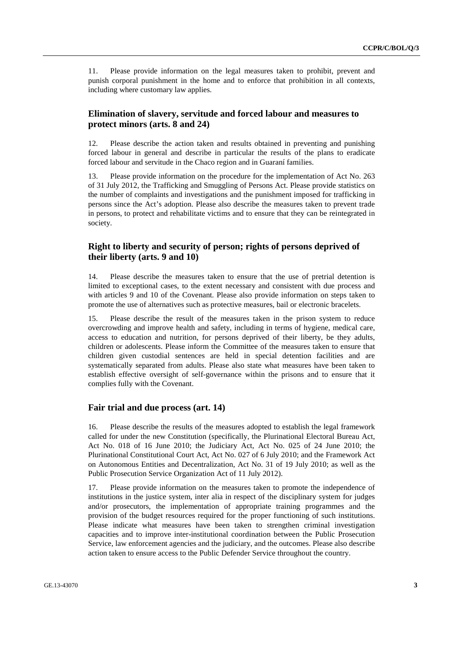11. Please provide information on the legal measures taken to prohibit, prevent and punish corporal punishment in the home and to enforce that prohibition in all contexts, including where customary law applies.

#### **Elimination of slavery, servitude and forced labour and measures to protect minors (arts. 8 and 24)**

12. Please describe the action taken and results obtained in preventing and punishing forced labour in general and describe in particular the results of the plans to eradicate forced labour and servitude in the Chaco region and in Guaraní families.

13. Please provide information on the procedure for the implementation of Act No. 263 of 31 July 2012, the Trafficking and Smuggling of Persons Act. Please provide statistics on the number of complaints and investigations and the punishment imposed for trafficking in persons since the Act's adoption. Please also describe the measures taken to prevent trade in persons, to protect and rehabilitate victims and to ensure that they can be reintegrated in society.

#### **Right to liberty and security of person; rights of persons deprived of their liberty (arts. 9 and 10)**

14. Please describe the measures taken to ensure that the use of pretrial detention is limited to exceptional cases, to the extent necessary and consistent with due process and with articles 9 and 10 of the Covenant. Please also provide information on steps taken to promote the use of alternatives such as protective measures, bail or electronic bracelets.

15. Please describe the result of the measures taken in the prison system to reduce overcrowding and improve health and safety, including in terms of hygiene, medical care, access to education and nutrition, for persons deprived of their liberty, be they adults, children or adolescents. Please inform the Committee of the measures taken to ensure that children given custodial sentences are held in special detention facilities and are systematically separated from adults. Please also state what measures have been taken to establish effective oversight of self-governance within the prisons and to ensure that it complies fully with the Covenant.

#### **Fair trial and due process (art. 14)**

16. Please describe the results of the measures adopted to establish the legal framework called for under the new Constitution (specifically, the Plurinational Electoral Bureau Act, Act No. 018 of 16 June 2010; the Judiciary Act, Act No. 025 of 24 June 2010; the Plurinational Constitutional Court Act, Act No. 027 of 6 July 2010; and the Framework Act on Autonomous Entities and Decentralization, Act No. 31 of 19 July 2010; as well as the Public Prosecution Service Organization Act of 11 July 2012).

17. Please provide information on the measures taken to promote the independence of institutions in the justice system, inter alia in respect of the disciplinary system for judges and/or prosecutors, the implementation of appropriate training programmes and the provision of the budget resources required for the proper functioning of such institutions. Please indicate what measures have been taken to strengthen criminal investigation capacities and to improve inter-institutional coordination between the Public Prosecution Service, law enforcement agencies and the judiciary, and the outcomes. Please also describe action taken to ensure access to the Public Defender Service throughout the country.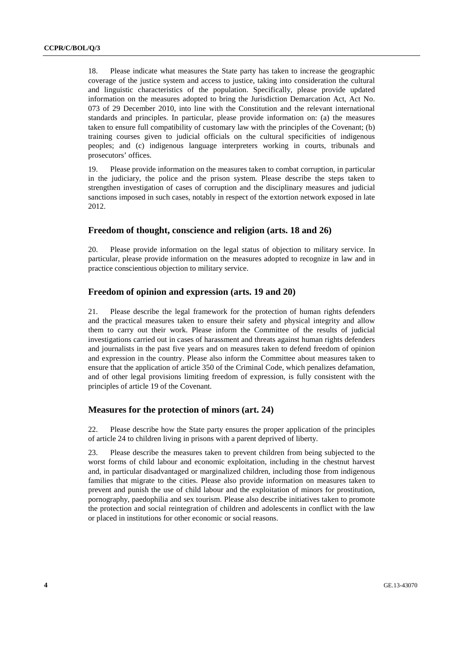18. Please indicate what measures the State party has taken to increase the geographic coverage of the justice system and access to justice, taking into consideration the cultural and linguistic characteristics of the population. Specifically, please provide updated information on the measures adopted to bring the Jurisdiction Demarcation Act, Act No. 073 of 29 December 2010, into line with the Constitution and the relevant international standards and principles. In particular, please provide information on: (a) the measures taken to ensure full compatibility of customary law with the principles of the Covenant; (b) training courses given to judicial officials on the cultural specificities of indigenous peoples; and (c) indigenous language interpreters working in courts, tribunals and prosecutors' offices.

19. Please provide information on the measures taken to combat corruption, in particular in the judiciary, the police and the prison system. Please describe the steps taken to strengthen investigation of cases of corruption and the disciplinary measures and judicial sanctions imposed in such cases, notably in respect of the extortion network exposed in late 2012.

#### **Freedom of thought, conscience and religion (arts. 18 and 26)**

20. Please provide information on the legal status of objection to military service. In particular, please provide information on the measures adopted to recognize in law and in practice conscientious objection to military service.

#### **Freedom of opinion and expression (arts. 19 and 20)**

21. Please describe the legal framework for the protection of human rights defenders and the practical measures taken to ensure their safety and physical integrity and allow them to carry out their work. Please inform the Committee of the results of judicial investigations carried out in cases of harassment and threats against human rights defenders and journalists in the past five years and on measures taken to defend freedom of opinion and expression in the country. Please also inform the Committee about measures taken to ensure that the application of article 350 of the Criminal Code, which penalizes defamation, and of other legal provisions limiting freedom of expression, is fully consistent with the principles of article 19 of the Covenant.

#### **Measures for the protection of minors (art. 24)**

22. Please describe how the State party ensures the proper application of the principles of article 24 to children living in prisons with a parent deprived of liberty.

23. Please describe the measures taken to prevent children from being subjected to the worst forms of child labour and economic exploitation, including in the chestnut harvest and, in particular disadvantaged or marginalized children, including those from indigenous families that migrate to the cities. Please also provide information on measures taken to prevent and punish the use of child labour and the exploitation of minors for prostitution, pornography, paedophilia and sex tourism. Please also describe initiatives taken to promote the protection and social reintegration of children and adolescents in conflict with the law or placed in institutions for other economic or social reasons.